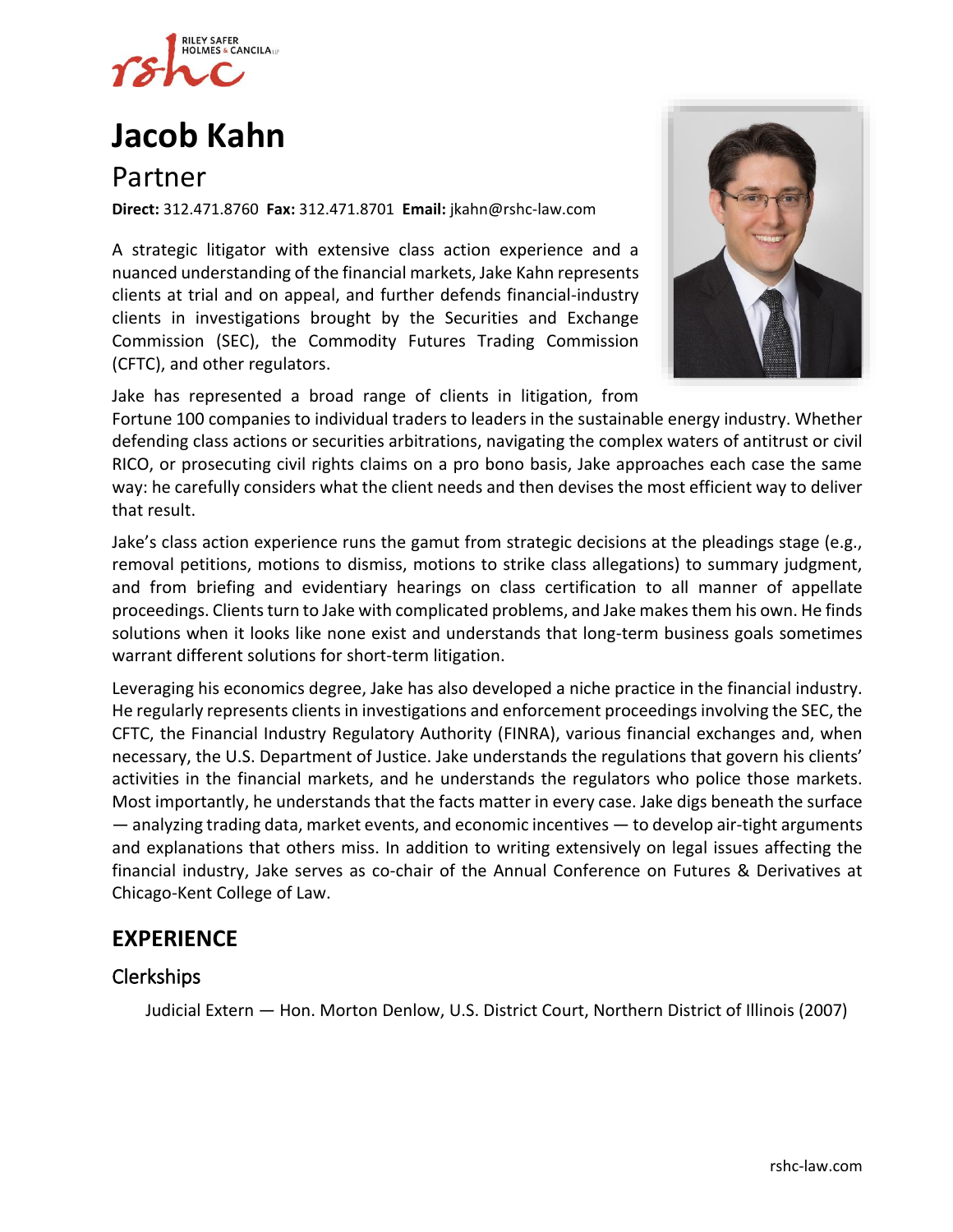

# **[Jacob](https://www.rshc-law.com/attorneys/attorney/jacob-kahn) Kahn**

# Partner

**Direct:** 312.471.8760 **Fax:** 312.471.8701 **Email:** jkahn@rshc-law.com

A strategic litigator with extensive class action experience and a nuanced understanding of the financial markets, Jake Kahn represents clients at trial and on appeal, and further defends financial-industry clients in investigations brought by the Securities and Exchange Commission (SEC), the Commodity Futures Trading Commission (CFTC), and other regulators.



Jake has represented a broad range of clients in litigation, from Fortune 100 companies to individual traders to leaders in the sustainable energy industry. Whether defending class actions or securities arbitrations, navigating the complex waters of antitrust or civil RICO, or prosecuting civil rights claims on a pro bono basis, Jake approaches each case the same way: he carefully considers what the client needs and then devises the most efficient way to deliver that result.

Jake's class action experience runs the gamut from strategic decisions at the pleadings stage (e.g., removal petitions, motions to dismiss, motions to strike class allegations) to summary judgment, and from briefing and evidentiary hearings on class certification to all manner of appellate proceedings. Clients turn to Jake with complicated problems, and Jake makes them his own. He finds solutions when it looks like none exist and understands that long-term business goals sometimes warrant different solutions for short-term litigation.

Leveraging his economics degree, Jake has also developed a niche practice in the financial industry. He regularly represents clients in investigations and enforcement proceedings involving the SEC, the CFTC, the Financial Industry Regulatory Authority (FINRA), various financial exchanges and, when necessary, the U.S. Department of Justice. Jake understands the regulations that govern his clients' activities in the financial markets, and he understands the regulators who police those markets. Most importantly, he understands that the facts matter in every case. Jake digs beneath the surface — analyzing trading data, market events, and economic incentives — to develop air-tight arguments and explanations that others miss. In addition to writing extensively on legal issues affecting the financial industry, Jake serves as co-chair of the Annual Conference on Futures & Derivatives at Chicago-Kent College of Law.

# **EXPERIENCE**

### Clerkships

Judicial Extern — Hon. Morton Denlow, U.S. District Court, Northern District of Illinois (2007)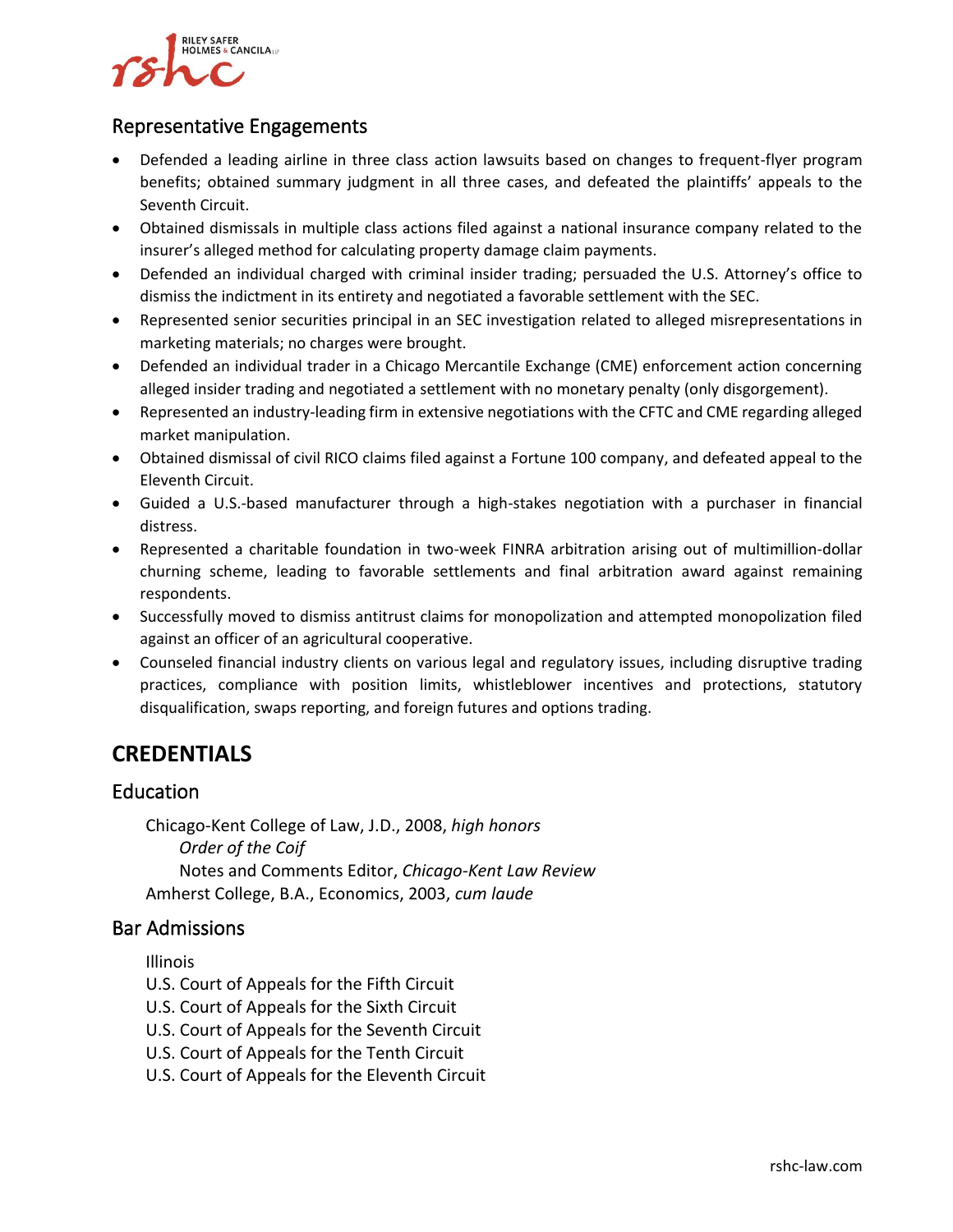

#### Representative Engagements

- Defended a leading airline in three class action lawsuits based on changes to frequent-flyer program benefits; obtained summary judgment in all three cases, and defeated the plaintiffs' appeals to the Seventh Circuit.
- Obtained dismissals in multiple class actions filed against a national insurance company related to the insurer's alleged method for calculating property damage claim payments.
- Defended an individual charged with criminal insider trading; persuaded the U.S. Attorney's office to dismiss the indictment in its entirety and negotiated a favorable settlement with the SEC.
- Represented senior securities principal in an SEC investigation related to alleged misrepresentations in marketing materials; no charges were brought.
- Defended an individual trader in a Chicago Mercantile Exchange (CME) enforcement action concerning alleged insider trading and negotiated a settlement with no monetary penalty (only disgorgement).
- Represented an industry-leading firm in extensive negotiations with the CFTC and CME regarding alleged market manipulation.
- Obtained dismissal of civil RICO claims filed against a Fortune 100 company, and defeated appeal to the Eleventh Circuit.
- Guided a U.S.-based manufacturer through a high-stakes negotiation with a purchaser in financial distress.
- Represented a charitable foundation in two-week FINRA arbitration arising out of multimillion-dollar churning scheme, leading to favorable settlements and final arbitration award against remaining respondents.
- Successfully moved to dismiss antitrust claims for monopolization and attempted monopolization filed against an officer of an agricultural cooperative.
- Counseled financial industry clients on various legal and regulatory issues, including disruptive trading practices, compliance with position limits, whistleblower incentives and protections, statutory disqualification, swaps reporting, and foreign futures and options trading.

# **CREDENTIALS**

#### Education

Chicago-Kent College of Law, J.D., 2008, *high honors Order of the Coif* Notes and Comments Editor, *Chicago-Kent Law Review* Amherst College, B.A., Economics, 2003, *cum laude*

#### Bar Admissions

Illinois

U.S. Court of Appeals for the Fifth Circuit

- U.S. Court of Appeals for the Sixth Circuit
- U.S. Court of Appeals for the Seventh Circuit
- U.S. Court of Appeals for the Tenth Circuit
- U.S. Court of Appeals for the Eleventh Circuit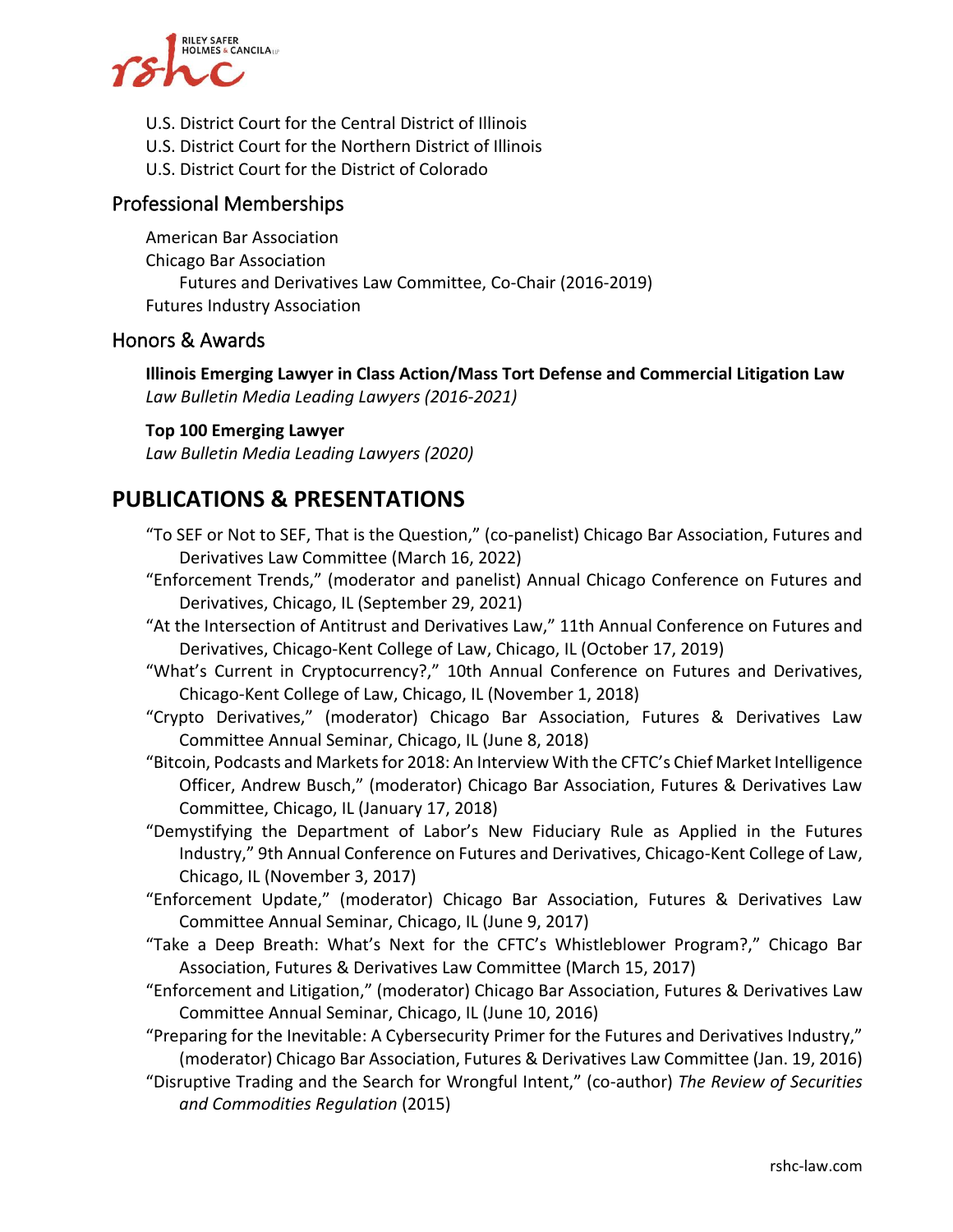

- U.S. District Court for the Central District of Illinois
- U.S. District Court for the Northern District of Illinois
- U.S. District Court for the District of Colorado

#### Professional Memberships

American Bar Association Chicago Bar Association Futures and Derivatives Law Committee, Co-Chair (2016-2019) Futures Industry Association

#### Honors & Awards

**Illinois Emerging Lawyer in Class Action/Mass Tort Defense and Commercial Litigation Law** *Law Bulletin Media Leading Lawyers (2016-2021)*

#### **Top 100 Emerging Lawyer**

*Law Bulletin Media Leading Lawyers (2020)*

## **PUBLICATIONS & PRESENTATIONS**

- "To SEF or Not to SEF, That is the Question," (co-panelist) Chicago Bar Association, Futures and Derivatives Law Committee (March 16, 2022)
- "Enforcement Trends," (moderator and panelist) Annual Chicago Conference on Futures and Derivatives, Chicago, IL (September 29, 2021)
- "At the Intersection of Antitrust and Derivatives Law," 11th Annual Conference on Futures and Derivatives, Chicago-Kent College of Law, Chicago, IL (October 17, 2019)
- "What's Current in Cryptocurrency?," 10th Annual Conference on Futures and Derivatives, Chicago-Kent College of Law, Chicago, IL (November 1, 2018)
- "Crypto Derivatives," (moderator) Chicago Bar Association, Futures & Derivatives Law Committee Annual Seminar, Chicago, IL (June 8, 2018)
- "Bitcoin, Podcasts and Markets for 2018: An Interview With the CFTC's Chief Market Intelligence Officer, Andrew Busch," (moderator) Chicago Bar Association, Futures & Derivatives Law Committee, Chicago, IL (January 17, 2018)
- "Demystifying the Department of Labor's New Fiduciary Rule as Applied in the Futures Industry," 9th Annual Conference on Futures and Derivatives, Chicago-Kent College of Law, Chicago, IL (November 3, 2017)
- "Enforcement Update," (moderator) Chicago Bar Association, Futures & Derivatives Law Committee Annual Seminar, Chicago, IL (June 9, 2017)
- "Take a Deep Breath: What's Next for the CFTC's Whistleblower Program?," Chicago Bar Association, Futures & Derivatives Law Committee (March 15, 2017)
- "Enforcement and Litigation," (moderator) Chicago Bar Association, Futures & Derivatives Law Committee Annual Seminar, Chicago, IL (June 10, 2016)

"Preparing for the Inevitable: A Cybersecurity Primer for the Futures and Derivatives Industry," (moderator) Chicago Bar Association, Futures & Derivatives Law Committee (Jan. 19, 2016)

"Disruptive Trading and the Search for Wrongful Intent," (co-author) *The Review of Securities and Commodities Regulation* (2015)